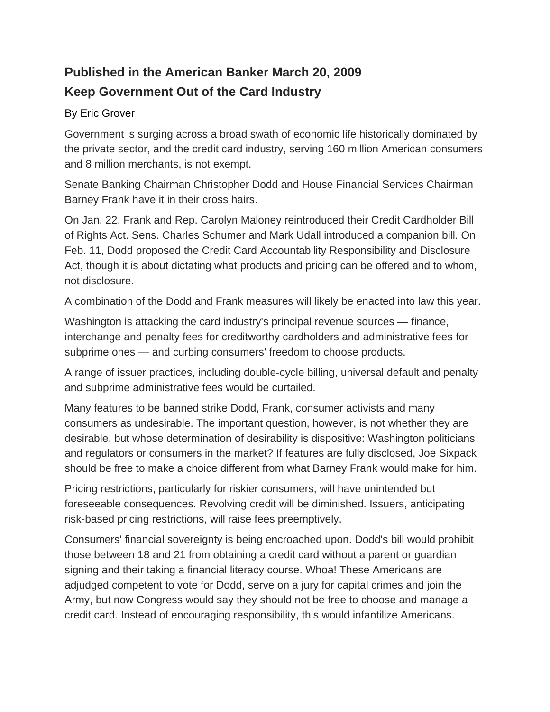## **Published in the American Banker March 20, 2009 Keep Government Out of the Card Industry**

## By Eric Grover

Government is surging across a broad swath of economic life historically dominated by the private sector, and the credit card industry, serving 160 million American consumers and 8 million merchants, is not exempt.

Senate Banking Chairman Christopher Dodd and House Financial Services Chairman Barney Frank have it in their cross hairs.

On Jan. 22, Frank and Rep. Carolyn Maloney reintroduced their Credit Cardholder Bill of Rights Act. Sens. Charles Schumer and Mark Udall introduced a companion bill. On Feb. 11, Dodd proposed the Credit Card Accountability Responsibility and Disclosure Act, though it is about dictating what products and pricing can be offered and to whom, not disclosure.

A combination of the Dodd and Frank measures will likely be enacted into law this year.

Washington is attacking the card industry's principal revenue sources — finance, interchange and penalty fees for creditworthy cardholders and administrative fees for subprime ones — and curbing consumers' freedom to choose products.

A range of issuer practices, including double-cycle billing, universal default and penalty and subprime administrative fees would be curtailed.

Many features to be banned strike Dodd, Frank, consumer activists and many consumers as undesirable. The important question, however, is not whether they are desirable, but whose determination of desirability is dispositive: Washington politicians and regulators or consumers in the market? If features are fully disclosed, Joe Sixpack should be free to make a choice different from what Barney Frank would make for him.

Pricing restrictions, particularly for riskier consumers, will have unintended but foreseeable consequences. Revolving credit will be diminished. Issuers, anticipating risk-based pricing restrictions, will raise fees preemptively.

Consumers' financial sovereignty is being encroached upon. Dodd's bill would prohibit those between 18 and 21 from obtaining a credit card without a parent or guardian signing and their taking a financial literacy course. Whoa! These Americans are adjudged competent to vote for Dodd, serve on a jury for capital crimes and join the Army, but now Congress would say they should not be free to choose and manage a credit card. Instead of encouraging responsibility, this would infantilize Americans.